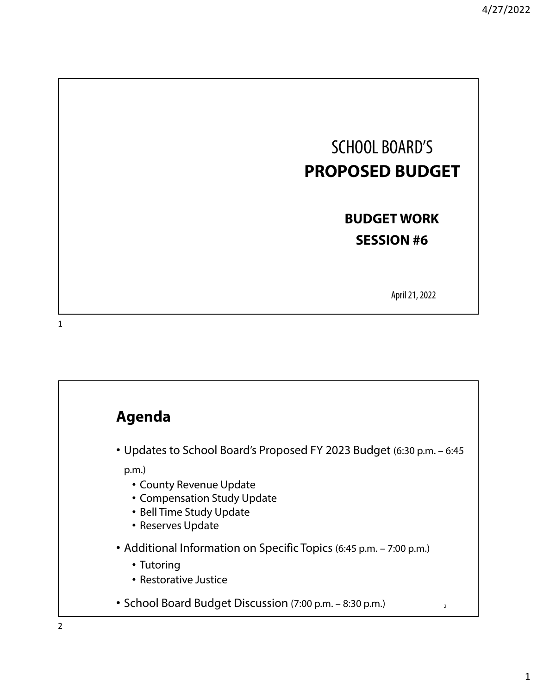

April 21, 2022

1

# **Agenda** • Updates to School Board's Proposed FY 2023 Budget (6:30 p.m. – 6:45 p.m.) • County Revenue Update • Compensation Study Update • Bell Time Study Update • Reserves Update • Additional Information on Specific Topics (6:45 p.m. – 7:00 p.m.) • Tutoring • Restorative Justice • School Board Budget Discussion (7:00 p.m. – 8:30 p.m.)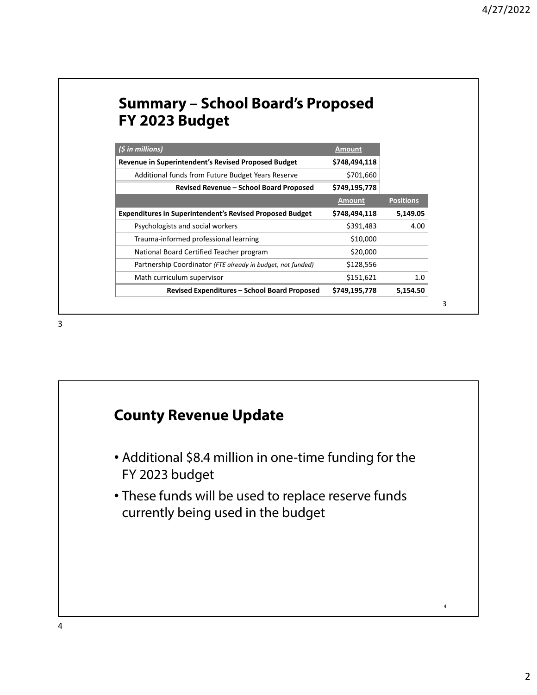### **Summary – School Board's Proposed FY 2023 Budget**

| $(S \in \mathbb{N})$                                            | <b>Amount</b> |                  |
|-----------------------------------------------------------------|---------------|------------------|
| Revenue in Superintendent's Revised Proposed Budget             | \$748,494,118 |                  |
| Additional funds from Future Budget Years Reserve               | \$701,660     |                  |
| Revised Revenue – School Board Proposed                         | \$749,195,778 |                  |
|                                                                 | <b>Amount</b> | <b>Positions</b> |
| <b>Expenditures in Superintendent's Revised Proposed Budget</b> | \$748,494,118 | 5,149.05         |
| Psychologists and social workers                                | \$391,483     | 4.00             |
| Trauma-informed professional learning                           | \$10,000      |                  |
| National Board Certified Teacher program                        | \$20,000      |                  |
| Partnership Coordinator (FTE already in budget, not funded)     | \$128,556     |                  |
| Math curriculum supervisor                                      | \$151,621     | 1.0              |
| <b>Revised Expenditures - School Board Proposed</b>             | \$749,195,778 | 5,154.50         |

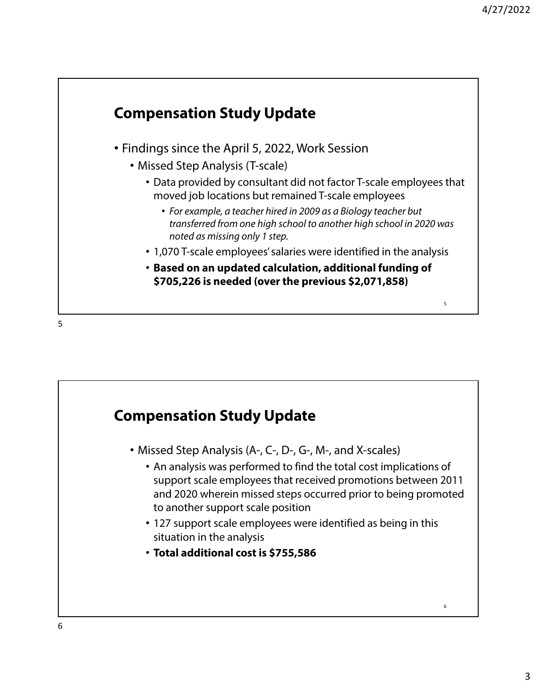

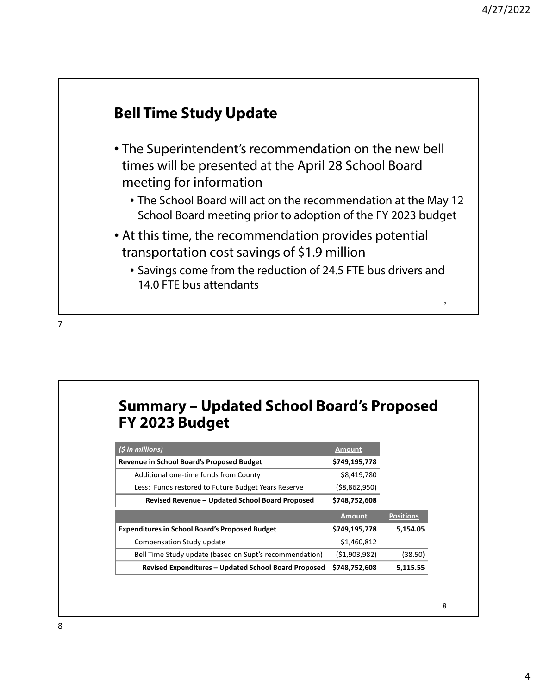### **Bell Time Study Update**

- The Superintendent's recommendation on the new bell times will be presented at the April 28 School Board meeting for information
	- The School Board will act on the recommendation at the May 12 School Board meeting prior to adoption of the FY 2023 budget
- At this time, the recommendation provides potential transportation cost savings of \$1.9 million
	- Savings come from the reduction of 24.5 FTE bus drivers and 14.0 FTE bus attendants

7

#### **Summary – Updated School Board's Proposed FY 2023 Budget**

| $(5$ in millions)                                       | <b>Amount</b> |                  |
|---------------------------------------------------------|---------------|------------------|
| Revenue in School Board's Proposed Budget               | \$749,195,778 |                  |
| Additional one-time funds from County                   | \$8,419,780   |                  |
| Less: Funds restored to Future Budget Years Reserve     | (\$8,862,950) |                  |
| Revised Revenue - Updated School Board Proposed         | \$748,752,608 |                  |
|                                                         |               |                  |
|                                                         | <b>Amount</b> | <b>Positions</b> |
| <b>Expenditures in School Board's Proposed Budget</b>   | \$749,195,778 | 5,154.05         |
| Compensation Study update                               | \$1,460,812   |                  |
| Bell Time Study update (based on Supt's recommendation) | (51,903,982)  | (38.50)          |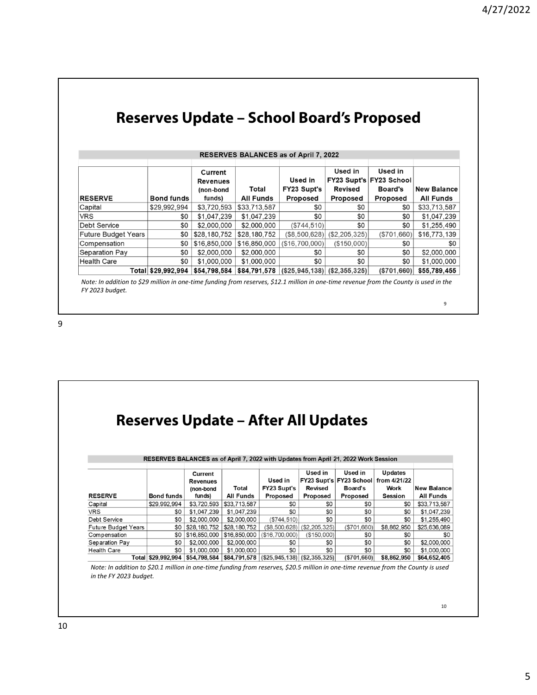| RESERVES BALANCES as of April 7, 2022 |                    |                                         |                  |                                              |                           |                                                      |                    |
|---------------------------------------|--------------------|-----------------------------------------|------------------|----------------------------------------------|---------------------------|------------------------------------------------------|--------------------|
|                                       |                    | Current<br><b>Revenues</b><br>(non-bond | Total            | Used in<br><b>FY23 Supt's</b>                | Used in<br><b>Revised</b> | Used in<br>FY23 Supt's FY23 School<br><b>Board's</b> | <b>New Balance</b> |
| <b>RESERVE</b>                        | <b>Bond funds</b>  | funds)                                  | <b>All Funds</b> | <b>Proposed</b>                              | <b>Proposed</b>           | <b>Proposed</b>                                      | <b>All Funds</b>   |
| Capital                               | \$29,992,994       | \$3,720,593                             | \$33,713,587     | \$0                                          | \$0                       | \$0                                                  | \$33,713,587       |
| <b>VRS</b>                            | \$0                | \$1,047,239                             | \$1,047,239      | \$0                                          | \$0                       | \$0                                                  | \$1,047,239        |
| <b>Debt Service</b>                   | \$0                | \$2,000,000                             | \$2,000,000      | (\$744,510)                                  | \$0                       | \$0                                                  | \$1,255,490        |
| <b>Future Budget Years</b>            | \$0                | \$28,180,752                            | \$28,180,752     | (\$8.500.628)                                | (S2, 205, 325)            | (\$701.660)                                          | \$16,773,139       |
| Compensation                          | \$0                | \$16,850,000                            | \$16,850,000     | (\$16,700,000)                               | (\$150,000)               | \$0                                                  | \$0                |
| Separation Pay                        | \$0                | \$2,000,000                             | \$2,000,000      | \$0                                          | \$0                       | \$0                                                  | \$2,000,000        |
| <b>Health Care</b>                    | \$0                | \$1,000,000                             | \$1,000,000      | \$0                                          | \$0                       | \$0                                                  | \$1,000,000        |
|                                       | Total \$29,992,994 | \$54,798,584                            |                  | $$84,791,578   ($25,945,138)   ($2,355,325)$ |                           | (S701, 660)                                          | \$55,789,455       |

**Reserves Update – School Board's Proposed**

Note: In addition to \$29 million in one-time funding from reserves, \$12.1 million in one-time revenue from the County is used in the *FY 2023 budget.*

9

|                     |                    |                 |                  | <b>Reserves Update – After All Updates</b>                                          |               |                         |                |                    |
|---------------------|--------------------|-----------------|------------------|-------------------------------------------------------------------------------------|---------------|-------------------------|----------------|--------------------|
|                     |                    |                 |                  |                                                                                     |               |                         |                |                    |
|                     |                    |                 |                  |                                                                                     |               |                         |                |                    |
|                     |                    |                 |                  |                                                                                     |               |                         |                |                    |
|                     |                    |                 |                  | RESERVES BALANCES as of April 7, 2022 with Updates from April 21, 2022 Work Session |               |                         |                |                    |
|                     |                    |                 |                  |                                                                                     |               |                         |                |                    |
|                     |                    | Current         |                  |                                                                                     | Used in       | Used in                 | Updates        |                    |
|                     |                    | <b>Revenues</b> |                  | Used in                                                                             |               | FY23 Supt's FY23 School | from 4/21/22   |                    |
|                     |                    | (non-bond       | Total            | FY23 Supt's                                                                         | Revised       | Board's                 | Work           | <b>New Balance</b> |
| <b>RESERVE</b>      | <b>Bond funds</b>  | funds)          | <b>All Funds</b> | Proposed                                                                            | Proposed      | Proposed                | <b>Session</b> | <b>All Funds</b>   |
| Capital             | \$29,992,994       | \$3,720,593     | \$33,713,587     | \$0                                                                                 | \$0           | \$0                     | \$0            | \$33,713,587       |
| <b>VRS</b>          | \$0                | \$1,047,239     | \$1,047,239      | \$0                                                                                 | \$0           | \$0                     | \$0            | \$1,047,239        |
| Debt Service        | \$0                | \$2,000,000     | \$2,000,000      | (S744.510)                                                                          | \$0           | \$0                     | \$0            | \$1,255,490        |
| Future Budget Years | \$0                | \$28,180,752    | \$28,180,752     | (\$8,500,628)                                                                       | (\$2,205,325) | (\$701,660)             | \$8,862,950    | \$25,636,089       |
| Compensation        | \$0                | \$16,850,000    | \$16,850,000     | (\$16,700,000)                                                                      | (\$150,000)   | \$0                     | \$0            | \$0                |
| Separation Pay      | \$0                | \$2,000,000     | \$2,000,000      | \$0                                                                                 | \$0           | \$0                     | \$0            | \$2,000,000        |
| Health Care         | \$0                | \$1,000,000     | \$1,000,000      | \$0                                                                                 | \$0           | \$0                     | \$0            | \$1,000,000        |
|                     | Total \$29,992,994 | \$54,798,584    | \$84,791,578     | $($ \$25,945,138) $ $ (\$2,355,325)                                                 |               | (\$701,660)             | \$8,862,950    | \$64,652,405       |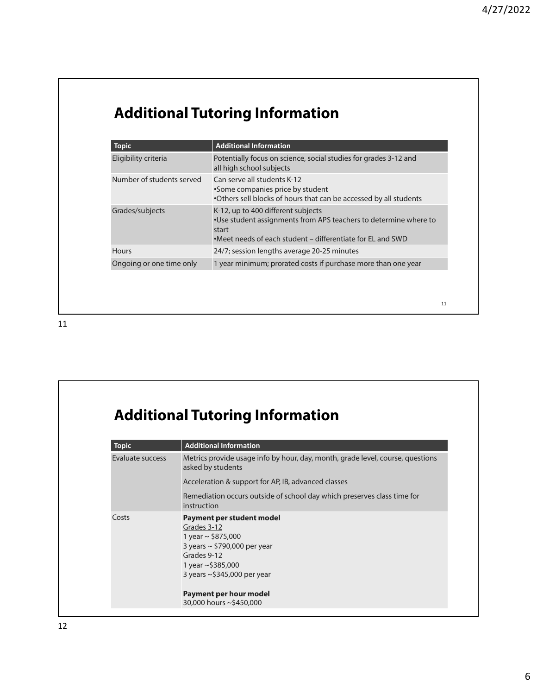11

# **Additional Tutoring Information**

| <b>Topic</b>              | <b>Additional Information</b>                                                                                                                                                 |
|---------------------------|-------------------------------------------------------------------------------------------------------------------------------------------------------------------------------|
| Eligibility criteria      | Potentially focus on science, social studies for grades 3-12 and<br>all high school subjects                                                                                  |
| Number of students served | Can serve all students K-12<br>•Some companies price by student<br>. Others sell blocks of hours that can be accessed by all students                                         |
| Grades/subjects           | K-12, up to 400 different subjects<br>•Use student assignments from APS teachers to determine where to<br>start<br>•Meet needs of each student – differentiate for EL and SWD |
| Hours                     | 24/7; session lengths average 20-25 minutes                                                                                                                                   |
| Ongoing or one time only  | 1 year minimum; prorated costs if purchase more than one year                                                                                                                 |

11

# **Additional Tutoring Information**

| <b>Topic</b>     | <b>Additional Information</b>                                                                                                                                               |
|------------------|-----------------------------------------------------------------------------------------------------------------------------------------------------------------------------|
| Evaluate success | Metrics provide usage info by hour, day, month, grade level, course, questions<br>asked by students                                                                         |
|                  | Acceleration & support for AP, IB, advanced classes                                                                                                                         |
|                  | Remediation occurs outside of school day which preserves class time for<br>instruction                                                                                      |
| Costs            | Payment per student model<br>Grades 3-12<br>1 year $\sim$ \$875,000<br>3 years $\sim$ \$790,000 per year<br>Grades 9-12<br>1 year ~\$385,000<br>3 years ~\$345,000 per year |
|                  | Payment per hour model<br>30,000 hours ~\$450,000                                                                                                                           |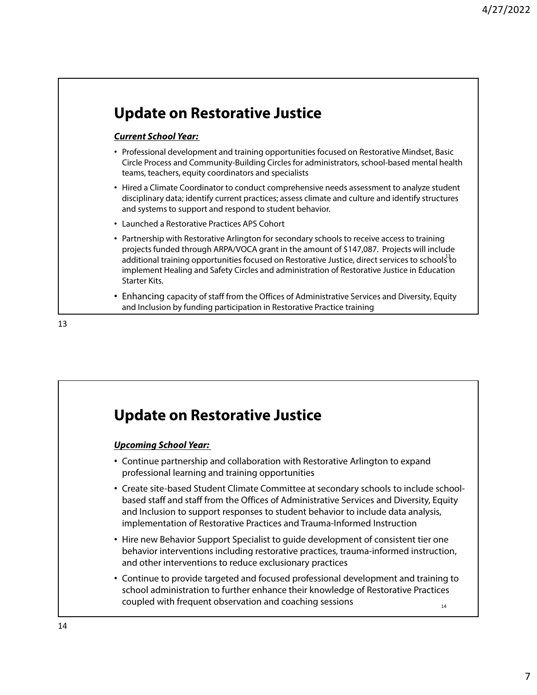### **Update on Restorative Justice**

#### **Current School Year:**

- Professional development and training opportunities focused on Restorative Mindset, Basic Circle Process and Community-Building Circles for administrators, school-based mental health teams, teachers, equity coordinators and specialists
- Hired a Climate Coordinator to conduct comprehensive needs assessment to analyze student disciplinary data; identify current practices; assess climate and culture and identify structures and systems to support and respond to student behavior.
- Launched a Restorative Practices APS Cohort
- Partnership with Restorative Arlington for secondary schools to receive access to training projects funded through ARPA/VOCA grant in the amount of \$147,087. Projects will include additional training opportunities focused on Restorative Justice, direct services to schools<sup>3</sup>to implement Healing and Safety Circles and administration of Restorative Justice in Education Starter Kits.
- Enhancing capacity of staff from the Offices of Administrative Services and Diversity, Equity and Inclusion by funding participation in Restorative Practice training

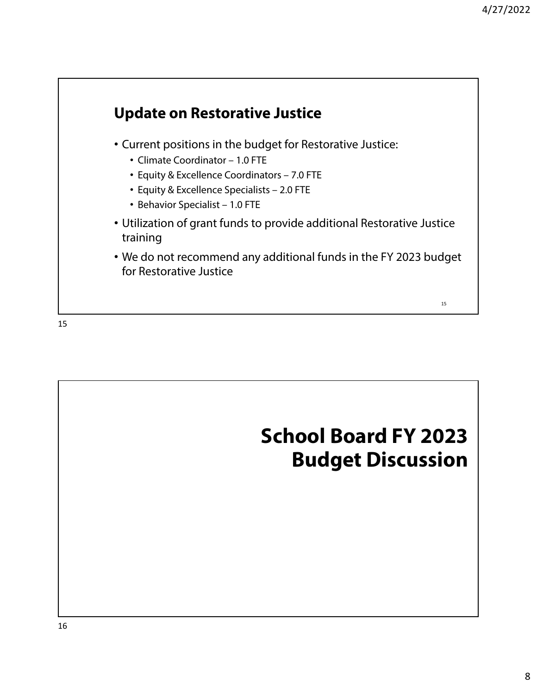

15

# **School Board FY 2023 Budget Discussion**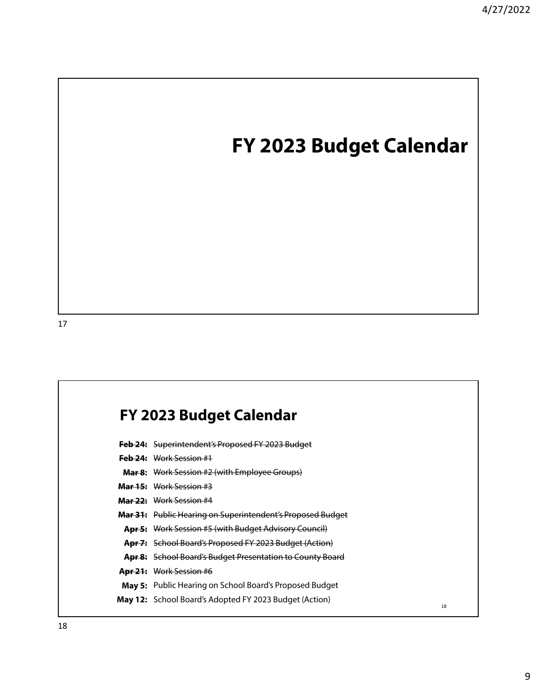# **FY 2023 Budget Calendar**

#### **FY 2023 Budget Calendar**

- **Feb 24:** Superintendent's Proposed FY 2023 Budget
- **Feb 24:** Work Session #1
- **Mar 8:** Work Session #2 (with Employee Groups)
- **Mar 15:** Work Session #3
- **Mar 22:** Work Session #4
- **Mar 31:** Public Hearing on Superintendent's Proposed Budget
- **Apr 5:** Work Session #5 (with Budget Advisory Council)
- **Apr 7:** School Board's Proposed FY 2023 Budget (Action)
- **Apr 8:** School Board's Budget Presentation to County Board
- **Apr 21:** Work Session #6
- **May 5:** Public Hearing on School Board's Proposed Budget
- **May 12:** School Board's Adopted FY 2023 Budget (Action)